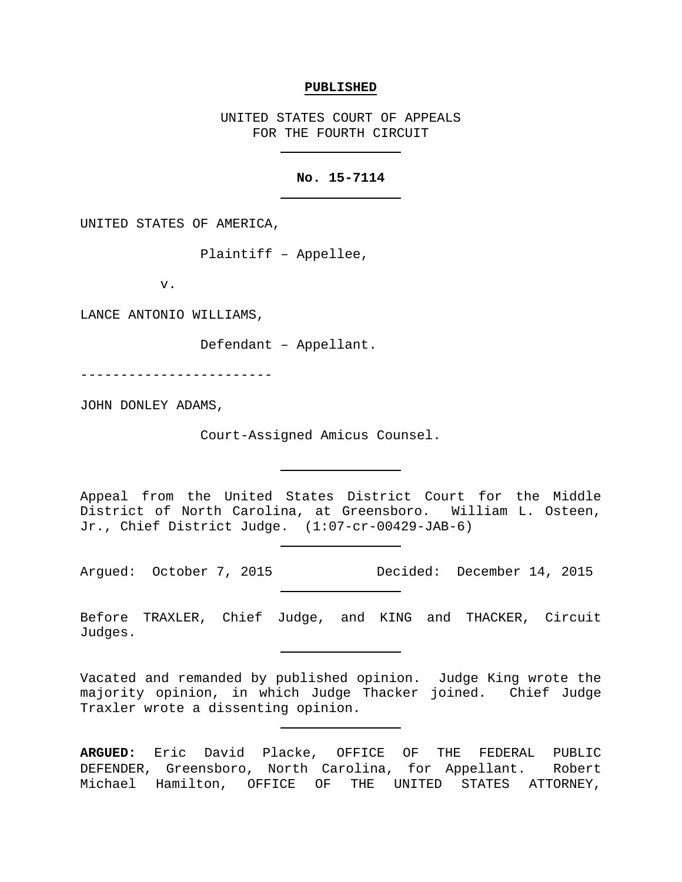#### **PUBLISHED**

UNITED STATES COURT OF APPEALS FOR THE FOURTH CIRCUIT

## **No. 15-7114**

UNITED STATES OF AMERICA,

Plaintiff – Appellee,

v.

LANCE ANTONIO WILLIAMS,

Defendant – Appellant.

------------------------

JOHN DONLEY ADAMS,

Court-Assigned Amicus Counsel.

Appeal from the United States District Court for the Middle District of North Carolina, at Greensboro. William L. Osteen, Jr., Chief District Judge. (1:07-cr-00429-JAB-6)

Argued: October 7, 2015 Decided: December 14, 2015

Before TRAXLER, Chief Judge, and KING and THACKER, Circuit Judges.

Vacated and remanded by published opinion. Judge King wrote the majority opinion, in which Judge Thacker joined. Chief Judge Traxler wrote a dissenting opinion.

**ARGUED:** Eric David Placke, OFFICE OF THE FEDERAL PUBLIC DEFENDER, Greensboro, North Carolina, for Appellant. Robert Michael Hamilton, OFFICE OF THE UNITED STATES ATTORNEY,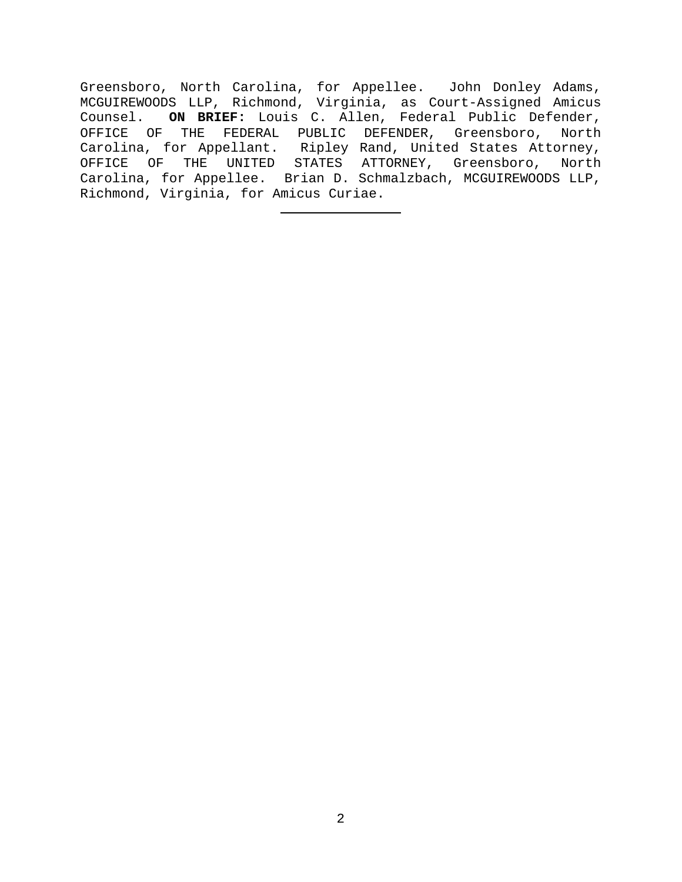Greensboro, North Carolina, for Appellee. John Donley Adams, MCGUIREWOODS LLP, Richmond, Virginia, as Court-Assigned Amicus<br>Counsel. ON BRIEF: Louis C. Allen, Federal Public Defender, ON BRIEF: Louis C. Allen, Federal Public Defender, OFFICE OF THE FEDERAL PUBLIC DEFENDER, Greensboro, North Carolina, for Appellant. Ripley Rand, United States Attorney, OFFICE OF THE UNITED STATES ATTORNEY, Greensboro, North Carolina, for Appellee. Brian D. Schmalzbach, MCGUIREWOODS LLP, Richmond, Virginia, for Amicus Curiae.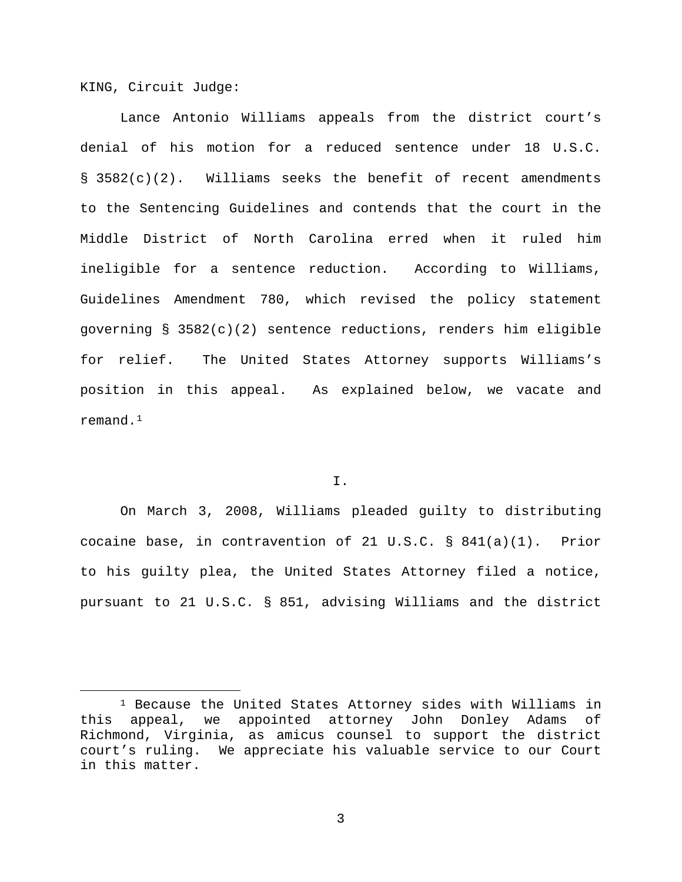KING, Circuit Judge:

Lance Antonio Williams appeals from the district court's denial of his motion for a reduced sentence under 18 U.S.C. § 3582(c)(2). Williams seeks the benefit of recent amendments to the Sentencing Guidelines and contends that the court in the Middle District of North Carolina erred when it ruled him ineligible for a sentence reduction. According to Williams, Guidelines Amendment 780, which revised the policy statement governing § 3582(c)(2) sentence reductions, renders him eligible for relief. The United States Attorney supports Williams's position in this appeal. As explained below, we vacate and remand.[1](#page-2-0)

I.

On March 3, 2008, Williams pleaded guilty to distributing cocaine base, in contravention of 21 U.S.C. § 841(a)(1). Prior to his guilty plea, the United States Attorney filed a notice, pursuant to 21 U.S.C. § 851, advising Williams and the district

<span id="page-2-0"></span> <sup>1</sup> Because the United States Attorney sides with Williams in this appeal, we appointed attorney John Donley Adams of Richmond, Virginia, as amicus counsel to support the district court's ruling. We appreciate his valuable service to our Court in this matter.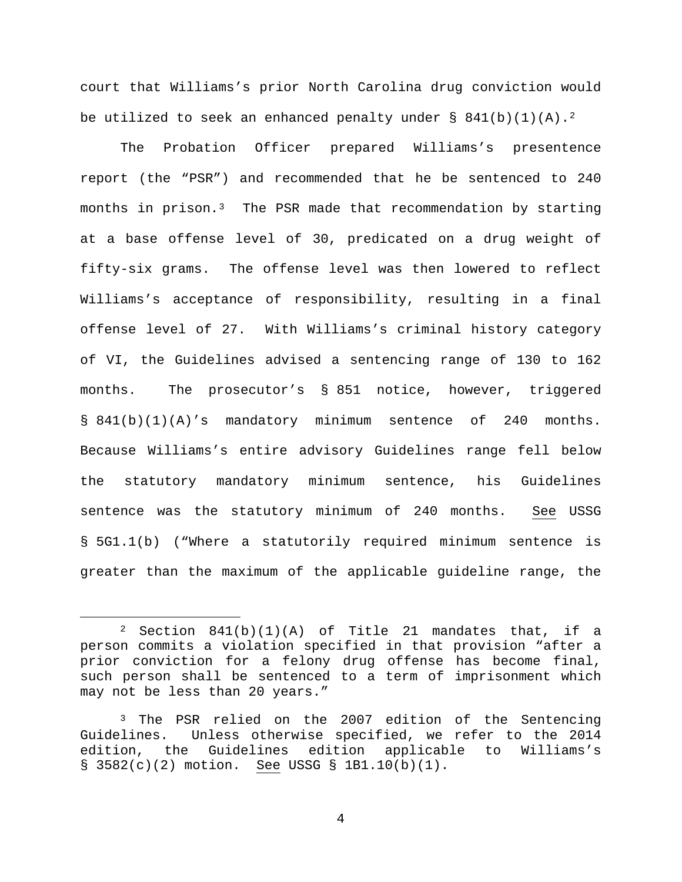court that Williams's prior North Carolina drug conviction would be utilized to seek an enhanced penalty under  $\S$  841(b)(1)(A).<sup>[2](#page-3-0)</sup>

The Probation Officer prepared Williams's presentence report (the "PSR") and recommended that he be sentenced to 240 months in prison.[3](#page-3-1) The PSR made that recommendation by starting at a base offense level of 30, predicated on a drug weight of fifty-six grams. The offense level was then lowered to reflect Williams's acceptance of responsibility, resulting in a final offense level of 27. With Williams's criminal history category of VI, the Guidelines advised a sentencing range of 130 to 162 months. The prosecutor's § 851 notice, however, triggered § 841(b)(1)(A)'s mandatory minimum sentence of 240 months. Because Williams's entire advisory Guidelines range fell below the statutory mandatory minimum sentence, his Guidelines sentence was the statutory minimum of 240 months. See USSG § 5G1.1(b) ("Where a statutorily required minimum sentence is greater than the maximum of the applicable guideline range, the

<span id="page-3-0"></span> <sup>2</sup> Section 841(b)(1)(A) of Title 21 mandates that, if a person commits a violation specified in that provision "after a prior conviction for a felony drug offense has become final, such person shall be sentenced to a term of imprisonment which may not be less than 20 years."

<span id="page-3-1"></span><sup>&</sup>lt;sup>3</sup> The PSR relied on the 2007 edition of the Sentencing Guidelines. Unless otherwise specified, we refer to the 2014 edition, the Guidelines edition applicable to Williams's § 3582(c)(2) motion. See USSG § 1B1.10(b)(1).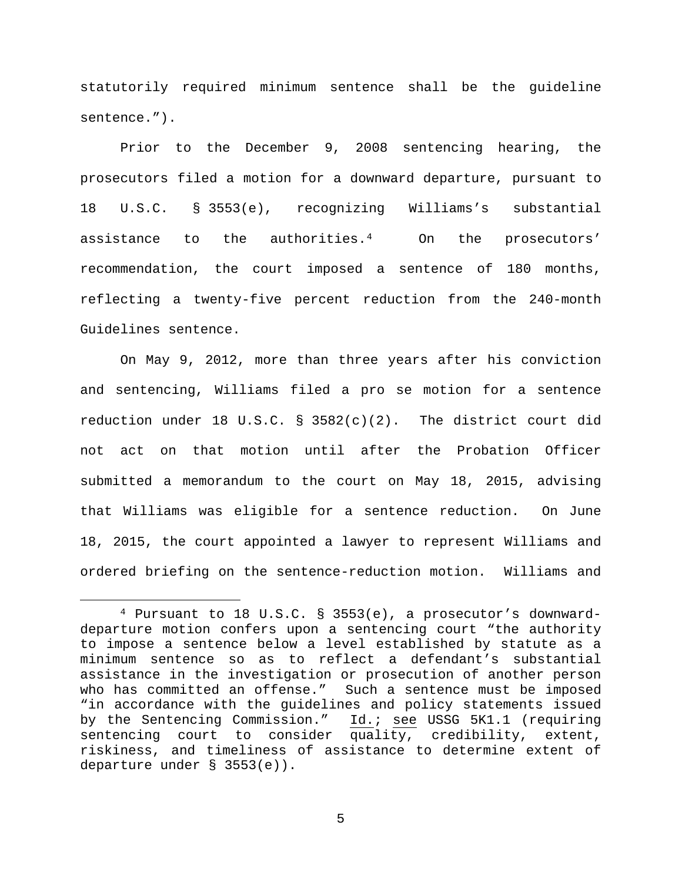statutorily required minimum sentence shall be the guideline sentence.").

Prior to the December 9, 2008 sentencing hearing, the prosecutors filed a motion for a downward departure, pursuant to 18 U.S.C. § 3553(e), recognizing Williams's substantial assistance to the authorities.[4](#page-4-0) On the prosecutors' recommendation, the court imposed a sentence of 180 months, reflecting a twenty-five percent reduction from the 240-month Guidelines sentence.

On May 9, 2012, more than three years after his conviction and sentencing, Williams filed a pro se motion for a sentence reduction under 18 U.S.C. § 3582(c)(2). The district court did not act on that motion until after the Probation Officer submitted a memorandum to the court on May 18, 2015, advising that Williams was eligible for a sentence reduction. On June 18, 2015, the court appointed a lawyer to represent Williams and ordered briefing on the sentence-reduction motion. Williams and

<span id="page-4-0"></span> <sup>4</sup> Pursuant to 18 U.S.C. § 3553(e), a prosecutor's downwarddeparture motion confers upon a sentencing court "the authority to impose a sentence below a level established by statute as a minimum sentence so as to reflect a defendant's substantial assistance in the investigation or prosecution of another person who has committed an offense." Such a sentence must be imposed "in accordance with the guidelines and policy statements issued<br>by the Sentencing Commission." Id.; see USSG 5K1.1 (requiring Id.; see USSG 5K1.1 (requiring sentencing court to consider quality, credibility, extent, riskiness, and timeliness of assistance to determine extent of departure under § 3553(e)).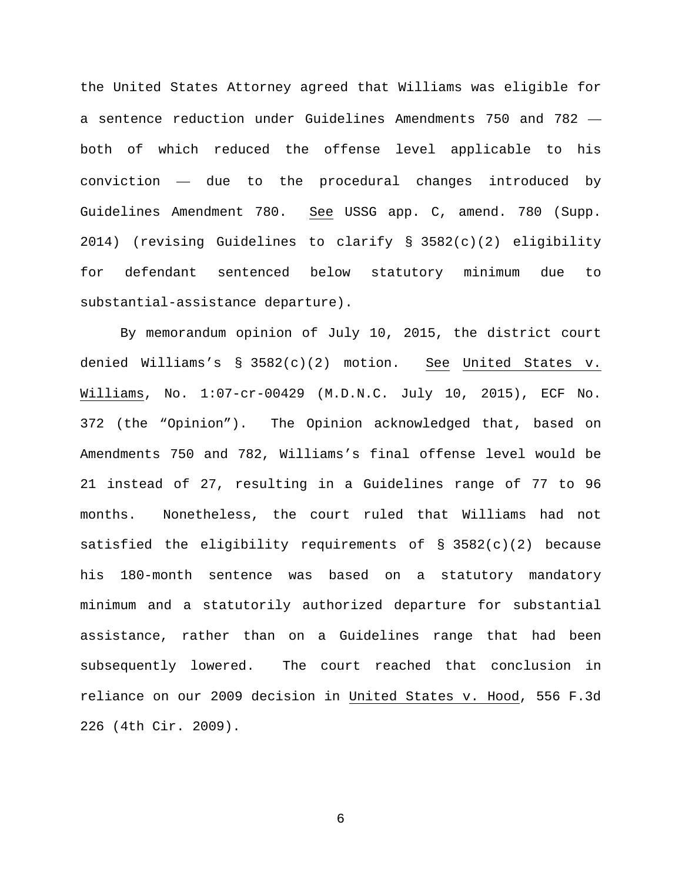the United States Attorney agreed that Williams was eligible for a sentence reduction under Guidelines Amendments 750 and 782 both of which reduced the offense level applicable to his conviction — due to the procedural changes introduced by Guidelines Amendment 780. See USSG app. C, amend. 780 (Supp. 2014) (revising Guidelines to clarify § 3582(c)(2) eligibility for defendant sentenced below statutory minimum due to substantial-assistance departure).

By memorandum opinion of July 10, 2015, the district court denied Williams's § 3582(c)(2) motion. See United States v. Williams, No. 1:07-cr-00429 (M.D.N.C. July 10, 2015), ECF No. 372 (the "Opinion"). The Opinion acknowledged that, based on Amendments 750 and 782, Williams's final offense level would be 21 instead of 27, resulting in a Guidelines range of 77 to 96 months. Nonetheless, the court ruled that Williams had not satisfied the eligibility requirements of § 3582(c)(2) because his 180-month sentence was based on a statutory mandatory minimum and a statutorily authorized departure for substantial assistance, rather than on a Guidelines range that had been subsequently lowered. The court reached that conclusion in reliance on our 2009 decision in United States v. Hood, 556 F.3d 226 (4th Cir. 2009).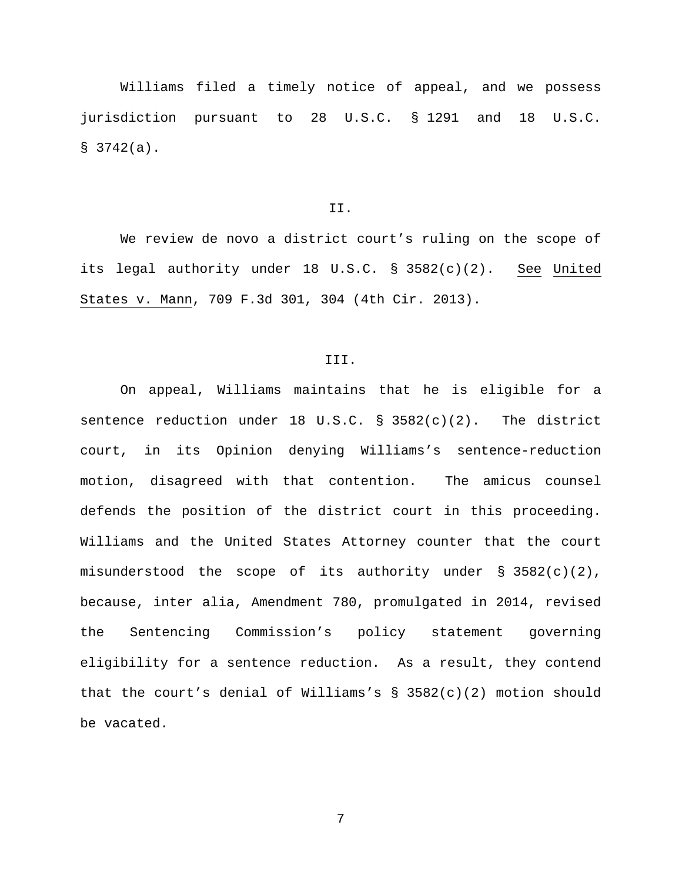Williams filed a timely notice of appeal, and we possess jurisdiction pursuant to 28 U.S.C. § 1291 and 18 U.S.C.  $$3742(a).$ 

## II.

We review de novo a district court's ruling on the scope of its legal authority under 18 U.S.C. § 3582(c)(2). See United States v. Mann, 709 F.3d 301, 304 (4th Cir. 2013).

### III.

On appeal, Williams maintains that he is eligible for a sentence reduction under 18 U.S.C. §  $3582(c)(2)$ . The district court, in its Opinion denying Williams's sentence-reduction motion, disagreed with that contention. The amicus counsel defends the position of the district court in this proceeding. Williams and the United States Attorney counter that the court misunderstood the scope of its authority under § 3582(c)(2), because, inter alia, Amendment 780, promulgated in 2014, revised the Sentencing Commission's policy statement governing eligibility for a sentence reduction. As a result, they contend that the court's denial of Williams's  $\S$  3582(c)(2) motion should be vacated.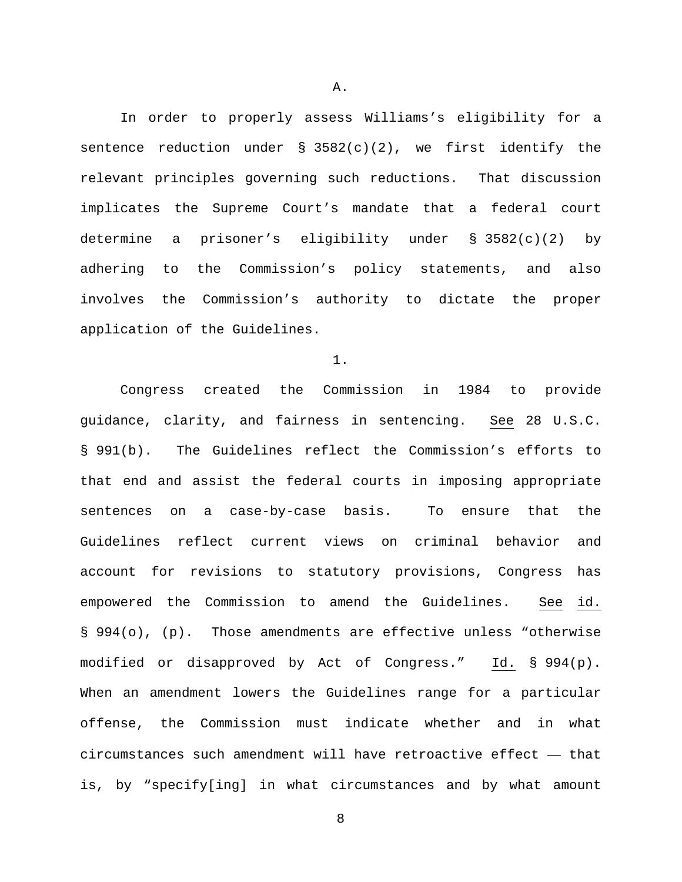In order to properly assess Williams's eligibility for a sentence reduction under  $\S$  3582(c)(2), we first identify the relevant principles governing such reductions. That discussion implicates the Supreme Court's mandate that a federal court determine a prisoner's eligibility under § 3582(c)(2) by adhering to the Commission's policy statements, and also involves the Commission's authority to dictate the proper application of the Guidelines.

1.

Congress created the Commission in 1984 to provide guidance, clarity, and fairness in sentencing. See 28 U.S.C. § 991(b). The Guidelines reflect the Commission's efforts to that end and assist the federal courts in imposing appropriate sentences on a case-by-case basis. To ensure that the Guidelines reflect current views on criminal behavior and account for revisions to statutory provisions, Congress has empowered the Commission to amend the Guidelines. See id. § 994(o), (p). Those amendments are effective unless "otherwise modified or disapproved by Act of Congress." Id. § 994(p). When an amendment lowers the Guidelines range for a particular offense, the Commission must indicate whether and in what circumstances such amendment will have retroactive effect — that is, by "specify[ing] in what circumstances and by what amount

A.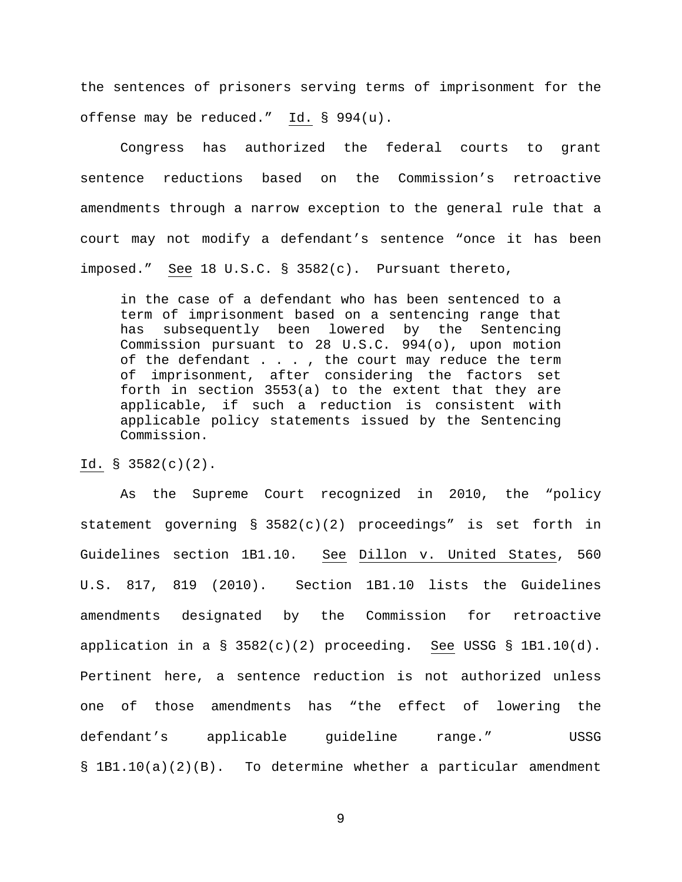the sentences of prisoners serving terms of imprisonment for the offense may be reduced." Id. § 994(u).

Congress has authorized the federal courts to grant sentence reductions based on the Commission's retroactive amendments through a narrow exception to the general rule that a court may not modify a defendant's sentence "once it has been imposed." See 18 U.S.C. § 3582(c). Pursuant thereto,

in the case of a defendant who has been sentenced to a term of imprisonment based on a sentencing range that has subsequently been lowered by the Sentencing Commission pursuant to 28 U.S.C. 994(o), upon motion of the defendant . . . , the court may reduce the term of imprisonment, after considering the factors set forth in section 3553(a) to the extent that they are applicable, if such a reduction is consistent with applicable policy statements issued by the Sentencing Commission.

Id. § 3582(c)(2).

As the Supreme Court recognized in 2010, the "policy statement governing § 3582(c)(2) proceedings" is set forth in Guidelines section 1B1.10. See Dillon v. United States, 560 U.S. 817, 819 (2010). Section 1B1.10 lists the Guidelines amendments designated by the Commission for retroactive application in a  $\S$  3582(c)(2) proceeding. See USSG  $\S$  1B1.10(d). Pertinent here, a sentence reduction is not authorized unless one of those amendments has "the effect of lowering the defendant's applicable guideline range." USSG § 1B1.10(a)(2)(B). To determine whether a particular amendment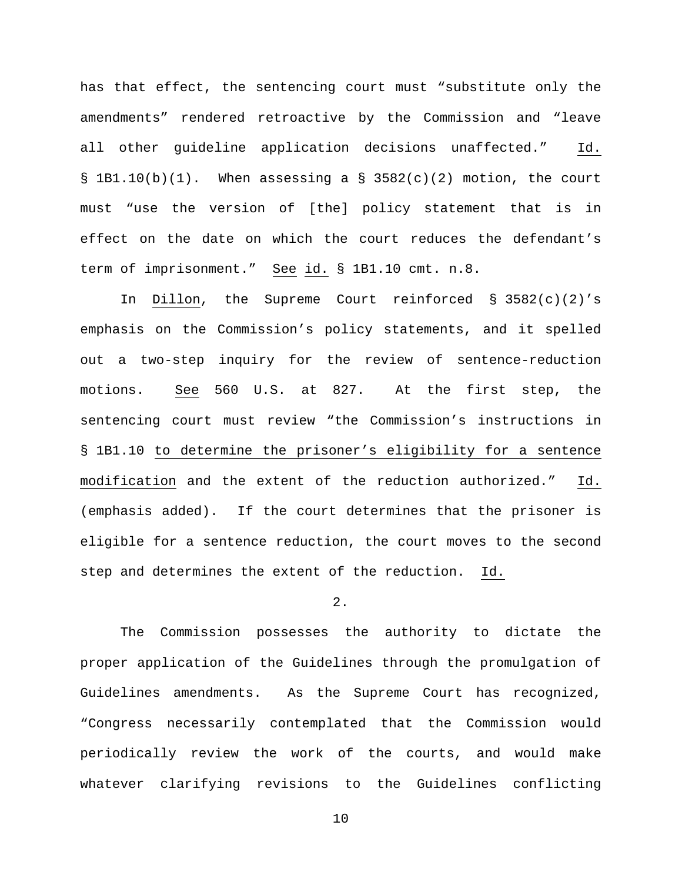has that effect, the sentencing court must "substitute only the amendments" rendered retroactive by the Commission and "leave all other guideline application decisions unaffected." Id. § 1B1.10(b)(1). When assessing a § 3582(c)(2) motion, the court must "use the version of [the] policy statement that is in effect on the date on which the court reduces the defendant's term of imprisonment." See id. § 1B1.10 cmt. n.8.

In Dillon, the Supreme Court reinforced § 3582(c)(2)'s emphasis on the Commission's policy statements, and it spelled out a two-step inquiry for the review of sentence-reduction motions. See 560 U.S. at 827. At the first step, the sentencing court must review "the Commission's instructions in § 1B1.10 to determine the prisoner's eligibility for a sentence modification and the extent of the reduction authorized." Id. (emphasis added). If the court determines that the prisoner is eligible for a sentence reduction, the court moves to the second step and determines the extent of the reduction. Id.

## 2.

The Commission possesses the authority to dictate the proper application of the Guidelines through the promulgation of Guidelines amendments. As the Supreme Court has recognized, "Congress necessarily contemplated that the Commission would periodically review the work of the courts, and would make whatever clarifying revisions to the Guidelines conflicting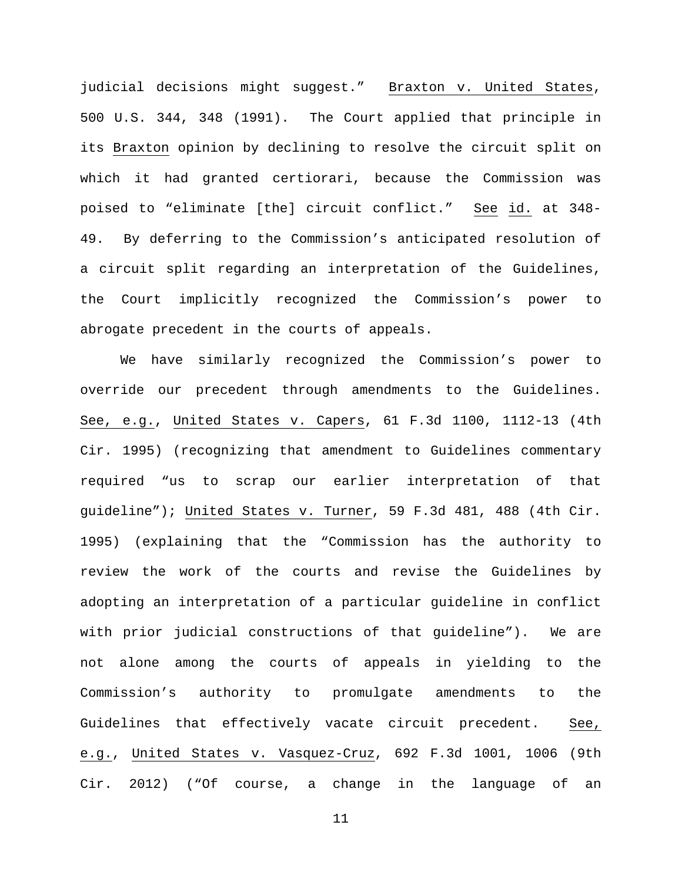judicial decisions might suggest." Braxton v. United States, 500 U.S. 344, 348 (1991). The Court applied that principle in its Braxton opinion by declining to resolve the circuit split on which it had granted certiorari, because the Commission was poised to "eliminate [the] circuit conflict." See id. at 348- 49. By deferring to the Commission's anticipated resolution of a circuit split regarding an interpretation of the Guidelines, the Court implicitly recognized the Commission's power to abrogate precedent in the courts of appeals.

We have similarly recognized the Commission's power to override our precedent through amendments to the Guidelines. See, e.g., United States v. Capers, 61 F.3d 1100, 1112-13 (4th Cir. 1995) (recognizing that amendment to Guidelines commentary required "us to scrap our earlier interpretation of that guideline"); United States v. Turner, 59 F.3d 481, 488 (4th Cir. 1995) (explaining that the "Commission has the authority to review the work of the courts and revise the Guidelines by adopting an interpretation of a particular guideline in conflict with prior judicial constructions of that guideline"). We are not alone among the courts of appeals in yielding to the Commission's authority to promulgate amendments to the Guidelines that effectively vacate circuit precedent. See, e.g., United States v. Vasquez-Cruz, 692 F.3d 1001, 1006 (9th Cir. 2012) ("Of course, a change in the language of an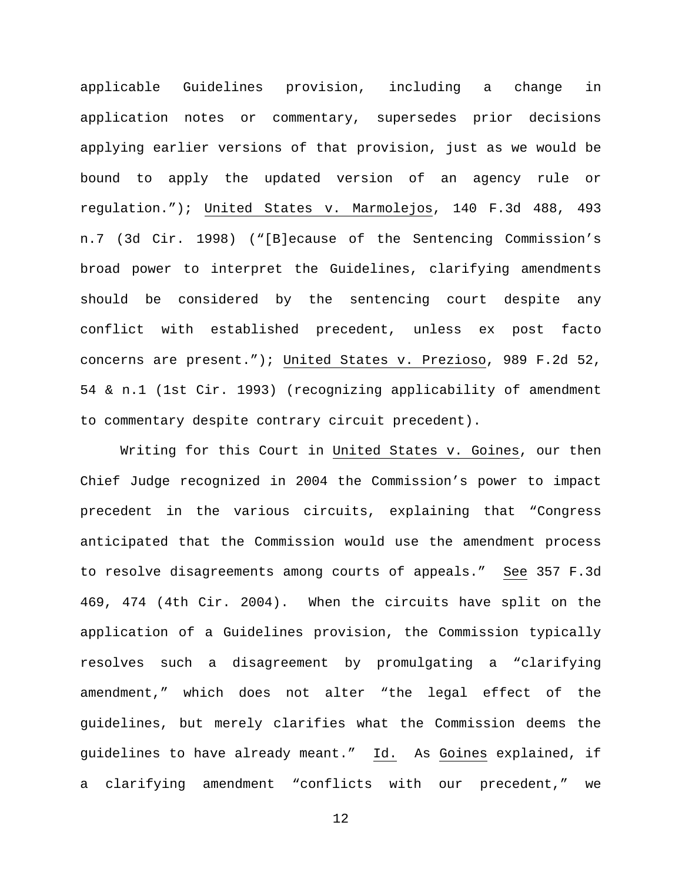applicable Guidelines provision, including a change in application notes or commentary, supersedes prior decisions applying earlier versions of that provision, just as we would be bound to apply the updated version of an agency rule or regulation."); United States v. Marmolejos, 140 F.3d 488, 493 n.7 (3d Cir. 1998) ("[B]ecause of the Sentencing Commission's broad power to interpret the Guidelines, clarifying amendments should be considered by the sentencing court despite any conflict with established precedent, unless ex post facto concerns are present."); United States v. Prezioso, 989 F.2d 52, 54 & n.1 (1st Cir. 1993) (recognizing applicability of amendment to commentary despite contrary circuit precedent).

Writing for this Court in United States v. Goines, our then Chief Judge recognized in 2004 the Commission's power to impact precedent in the various circuits, explaining that "Congress anticipated that the Commission would use the amendment process to resolve disagreements among courts of appeals." See 357 F.3d 469, 474 (4th Cir. 2004). When the circuits have split on the application of a Guidelines provision, the Commission typically resolves such a disagreement by promulgating a "clarifying amendment," which does not alter "the legal effect of the guidelines, but merely clarifies what the Commission deems the guidelines to have already meant." Id. As Goines explained, if a clarifying amendment "conflicts with our precedent," we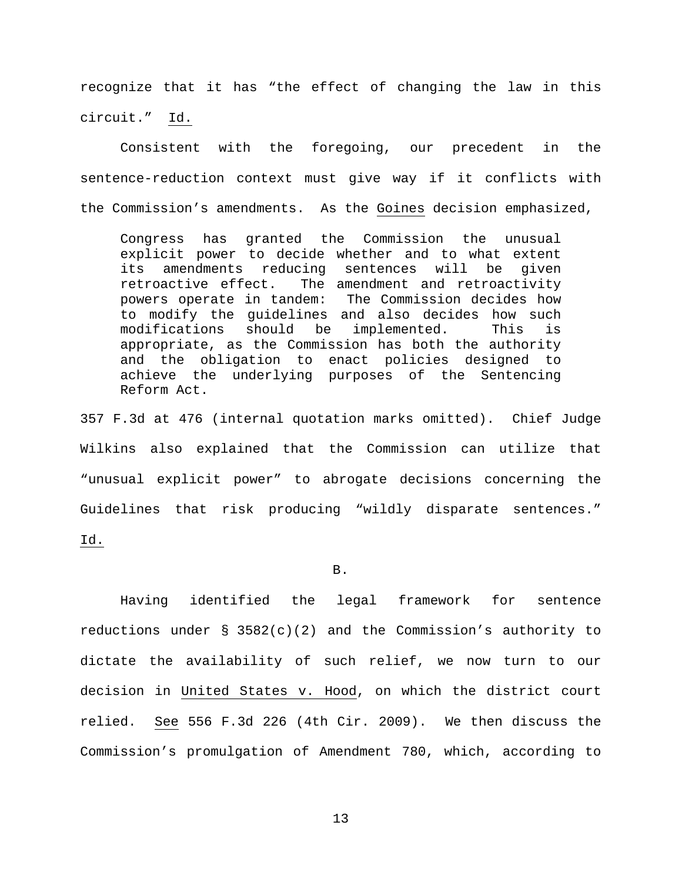recognize that it has "the effect of changing the law in this circuit." Id.

Consistent with the foregoing, our precedent in the sentence-reduction context must give way if it conflicts with the Commission's amendments. As the Goines decision emphasized,

Congress has granted the Commission the unusual explicit power to decide whether and to what extent<br>its amendments reducing sentences will be given its amendments reducing sentences will be given<br>retroactive effect. The amendment and retroactivity retroactive effect. The amendment and retroactivity<br>powers operate in tandem: The Commission decides how The Commission decides how to modify the guidelines and also decides how such modifications should be implemented. This is appropriate, as the Commission has both the authority and the obligation to enact policies designed to achieve the underlying purposes of the Sentencing Reform Act.

357 F.3d at 476 (internal quotation marks omitted). Chief Judge Wilkins also explained that the Commission can utilize that "unusual explicit power" to abrogate decisions concerning the Guidelines that risk producing "wildly disparate sentences." Id.

### B.

Having identified the legal framework for sentence reductions under  $\S$  3582(c)(2) and the Commission's authority to dictate the availability of such relief, we now turn to our decision in United States v. Hood, on which the district court relied. See 556 F.3d 226 (4th Cir. 2009). We then discuss the Commission's promulgation of Amendment 780, which, according to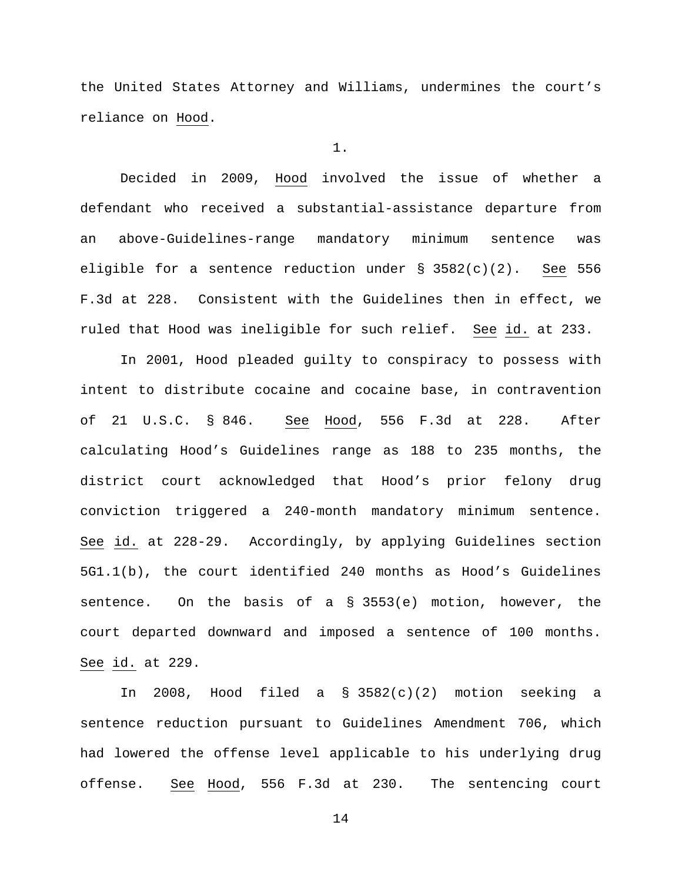the United States Attorney and Williams, undermines the court's reliance on Hood.

#### 1.

Decided in 2009, Hood involved the issue of whether a defendant who received a substantial-assistance departure from an above-Guidelines-range mandatory minimum sentence was eligible for a sentence reduction under § 3582(c)(2). See 556 F.3d at 228. Consistent with the Guidelines then in effect, we ruled that Hood was ineligible for such relief. See id. at 233.

In 2001, Hood pleaded guilty to conspiracy to possess with intent to distribute cocaine and cocaine base, in contravention of 21 U.S.C. § 846. See Hood, 556 F.3d at 228. After calculating Hood's Guidelines range as 188 to 235 months, the district court acknowledged that Hood's prior felony drug conviction triggered a 240-month mandatory minimum sentence. See id. at 228-29. Accordingly, by applying Guidelines section 5G1.1(b), the court identified 240 months as Hood's Guidelines sentence. On the basis of a § 3553(e) motion, however, the court departed downward and imposed a sentence of 100 months. See id. at 229.

In 2008, Hood filed a § 3582(c)(2) motion seeking a sentence reduction pursuant to Guidelines Amendment 706, which had lowered the offense level applicable to his underlying drug offense. See Hood, 556 F.3d at 230. The sentencing court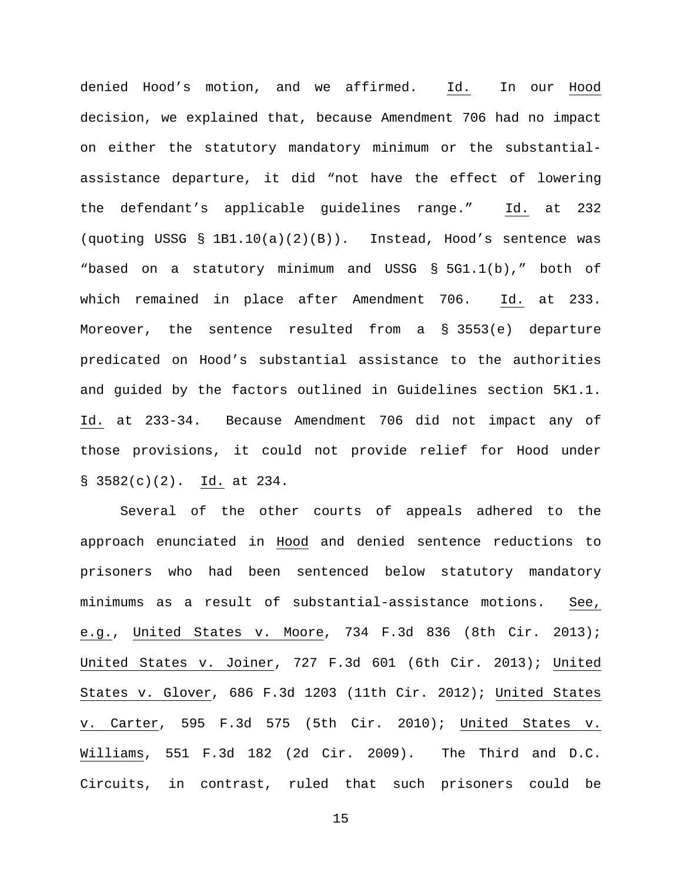denied Hood's motion, and we affirmed. Id. In our Hood decision, we explained that, because Amendment 706 had no impact on either the statutory mandatory minimum or the substantialassistance departure, it did "not have the effect of lowering the defendant's applicable guidelines range." Id. at 232 (quoting USSG § 1B1.10(a)(2)(B)). Instead, Hood's sentence was "based on a statutory minimum and USSG § 5G1.1(b)," both of which remained in place after Amendment 706. Id. at 233. Moreover, the sentence resulted from a § 3553(e) departure predicated on Hood's substantial assistance to the authorities and guided by the factors outlined in Guidelines section 5K1.1. Id. at 233-34. Because Amendment 706 did not impact any of those provisions, it could not provide relief for Hood under § 3582(c)(2). Id. at 234.

Several of the other courts of appeals adhered to the approach enunciated in Hood and denied sentence reductions to prisoners who had been sentenced below statutory mandatory minimums as a result of substantial-assistance motions. See, e.g., United States v. Moore, 734 F.3d 836 (8th Cir. 2013); United States v. Joiner, 727 F.3d 601 (6th Cir. 2013); United States v. Glover, 686 F.3d 1203 (11th Cir. 2012); United States v. Carter, 595 F.3d 575 (5th Cir. 2010); United States v. Williams, 551 F.3d 182 (2d Cir. 2009). The Third and D.C. Circuits, in contrast, ruled that such prisoners could be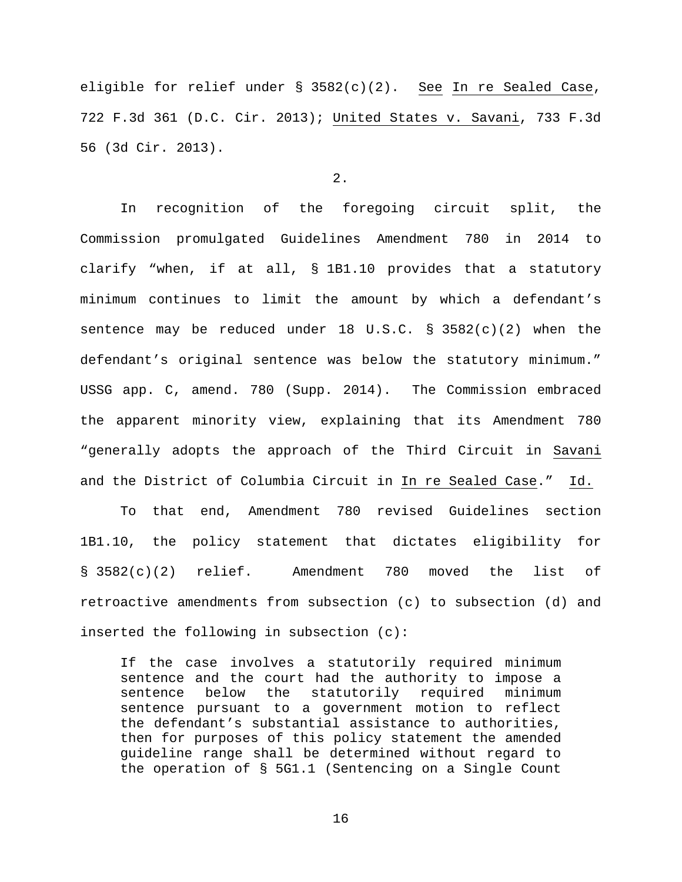eligible for relief under § 3582(c)(2). See In re Sealed Case, 722 F.3d 361 (D.C. Cir. 2013); United States v. Savani, 733 F.3d 56 (3d Cir. 2013).

# 2.

In recognition of the foregoing circuit split, the Commission promulgated Guidelines Amendment 780 in 2014 to clarify "when, if at all, § 1B1.10 provides that a statutory minimum continues to limit the amount by which a defendant's sentence may be reduced under 18 U.S.C. § 3582(c)(2) when the defendant's original sentence was below the statutory minimum." USSG app. C, amend. 780 (Supp. 2014). The Commission embraced the apparent minority view, explaining that its Amendment 780 "generally adopts the approach of the Third Circuit in Savani and the District of Columbia Circuit in In re Sealed Case." Id.

To that end, Amendment 780 revised Guidelines section 1B1.10, the policy statement that dictates eligibility for § 3582(c)(2) relief. Amendment 780 moved the list of retroactive amendments from subsection (c) to subsection (d) and inserted the following in subsection (c):

If the case involves a statutorily required minimum sentence and the court had the authority to impose a<br>sentence below the statutorily required minimum sentence below the statutorily required minimum sentence pursuant to a government motion to reflect the defendant's substantial assistance to authorities, then for purposes of this policy statement the amended guideline range shall be determined without regard to the operation of § 5G1.1 (Sentencing on a Single Count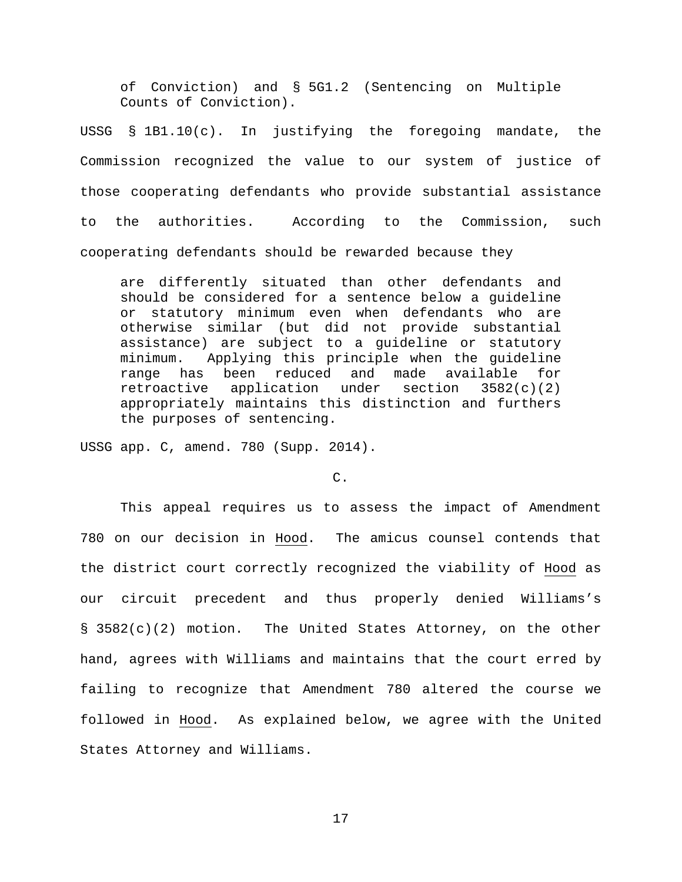of Conviction) and § 5G1.2 (Sentencing on Multiple Counts of Conviction).

USSG § 1B1.10(c). In justifying the foregoing mandate, the Commission recognized the value to our system of justice of those cooperating defendants who provide substantial assistance to the authorities. According to the Commission, such cooperating defendants should be rewarded because they

are differently situated than other defendants and should be considered for a sentence below a guideline or statutory minimum even when defendants who are otherwise similar (but did not provide substantial assistance) are subject to a guideline or statutory minimum. Applying this principle when the guideline range has been reduced and made available for<br>retroactive application under section 3582(c)(2) retroactive application under appropriately maintains this distinction and furthers the purposes of sentencing.

USSG app. C, amend. 780 (Supp. 2014).

## C.

This appeal requires us to assess the impact of Amendment 780 on our decision in Hood. The amicus counsel contends that the district court correctly recognized the viability of Hood as our circuit precedent and thus properly denied Williams's § 3582(c)(2) motion. The United States Attorney, on the other hand, agrees with Williams and maintains that the court erred by failing to recognize that Amendment 780 altered the course we followed in Hood. As explained below, we agree with the United States Attorney and Williams.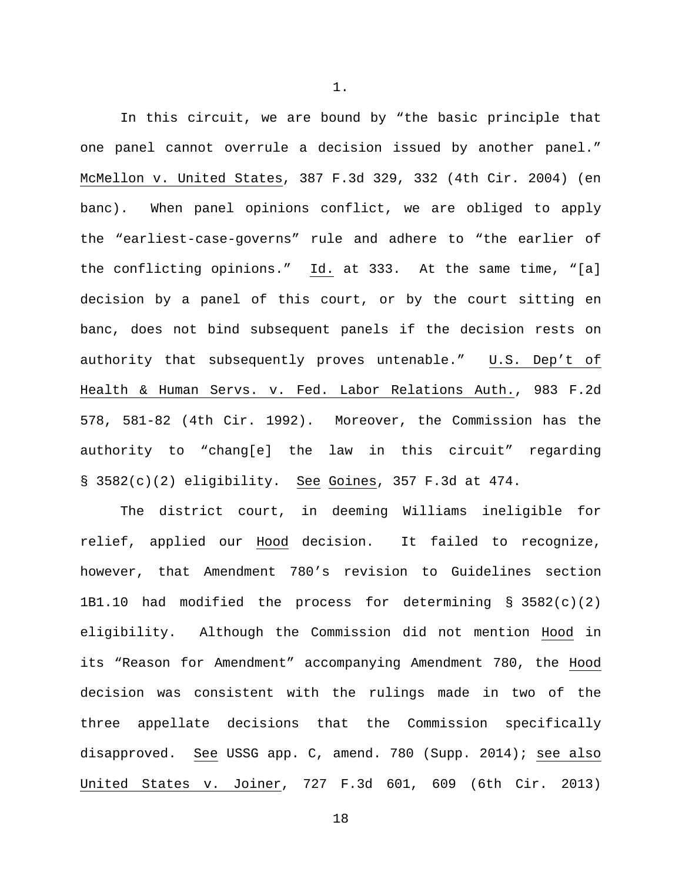In this circuit, we are bound by "the basic principle that one panel cannot overrule a decision issued by another panel." McMellon v. United States, 387 F.3d 329, 332 (4th Cir. 2004) (en banc). When panel opinions conflict, we are obliged to apply the "earliest-case-governs" rule and adhere to "the earlier of the conflicting opinions." Id. at 333. At the same time, "[a] decision by a panel of this court, or by the court sitting en banc, does not bind subsequent panels if the decision rests on authority that subsequently proves untenable." U.S. Dep't of Health & Human Servs. v. Fed. Labor Relations Auth., 983 F.2d 578, 581-82 (4th Cir. 1992). Moreover, the Commission has the authority to "chang[e] the law in this circuit" regarding § 3582(c)(2) eligibility. See Goines, 357 F.3d at 474.

The district court, in deeming Williams ineligible for relief, applied our Hood decision. It failed to recognize, however, that Amendment 780's revision to Guidelines section 1B1.10 had modified the process for determining § 3582(c)(2) eligibility. Although the Commission did not mention Hood in its "Reason for Amendment" accompanying Amendment 780, the Hood decision was consistent with the rulings made in two of the three appellate decisions that the Commission specifically disapproved. See USSG app. C, amend. 780 (Supp. 2014); see also United States v. Joiner, 727 F.3d 601, 609 (6th Cir. 2013)

1.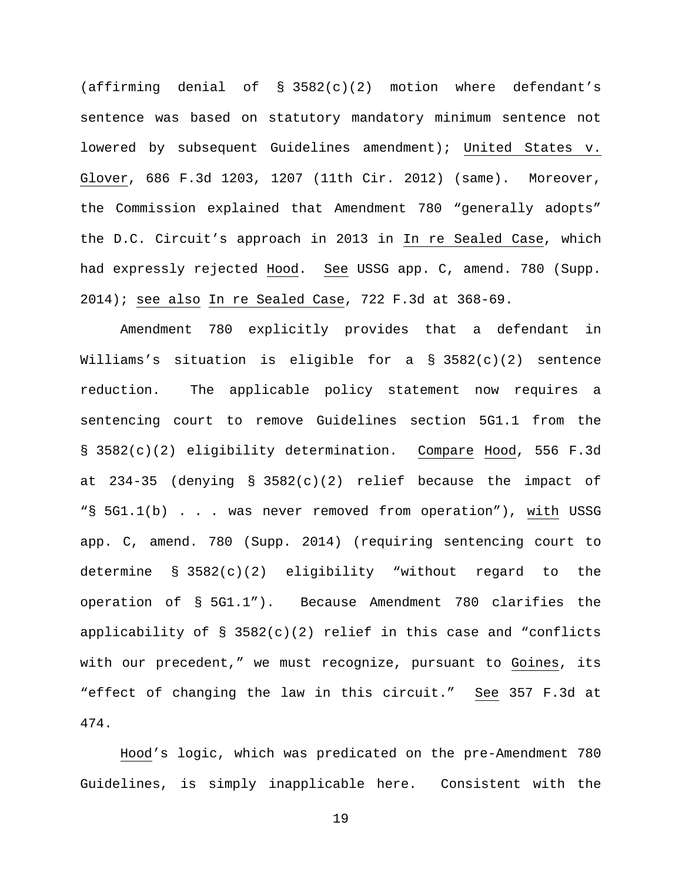(affirming denial of  $\S$  3582(c)(2) motion where defendant's sentence was based on statutory mandatory minimum sentence not lowered by subsequent Guidelines amendment); United States v. Glover, 686 F.3d 1203, 1207 (11th Cir. 2012) (same). Moreover, the Commission explained that Amendment 780 "generally adopts" the D.C. Circuit's approach in 2013 in In re Sealed Case, which had expressly rejected Hood. See USSG app. C, amend. 780 (Supp. 2014); see also In re Sealed Case, 722 F.3d at 368-69.

Amendment 780 explicitly provides that a defendant in Williams's situation is eligible for a  $\S$  3582(c)(2) sentence reduction. The applicable policy statement now requires a sentencing court to remove Guidelines section 5G1.1 from the § 3582(c)(2) eligibility determination. Compare Hood, 556 F.3d at 234-35 (denying § 3582(c)(2) relief because the impact of "§ 5G1.1(b) . . . was never removed from operation"), with USSG app. C, amend. 780 (Supp. 2014) (requiring sentencing court to determine § 3582(c)(2) eligibility "without regard to the operation of § 5G1.1"). Because Amendment 780 clarifies the applicability of  $\S$  3582(c)(2) relief in this case and "conflicts with our precedent," we must recognize, pursuant to Goines, its "effect of changing the law in this circuit." See 357 F.3d at 474.

Hood's logic, which was predicated on the pre-Amendment 780 Guidelines, is simply inapplicable here. Consistent with the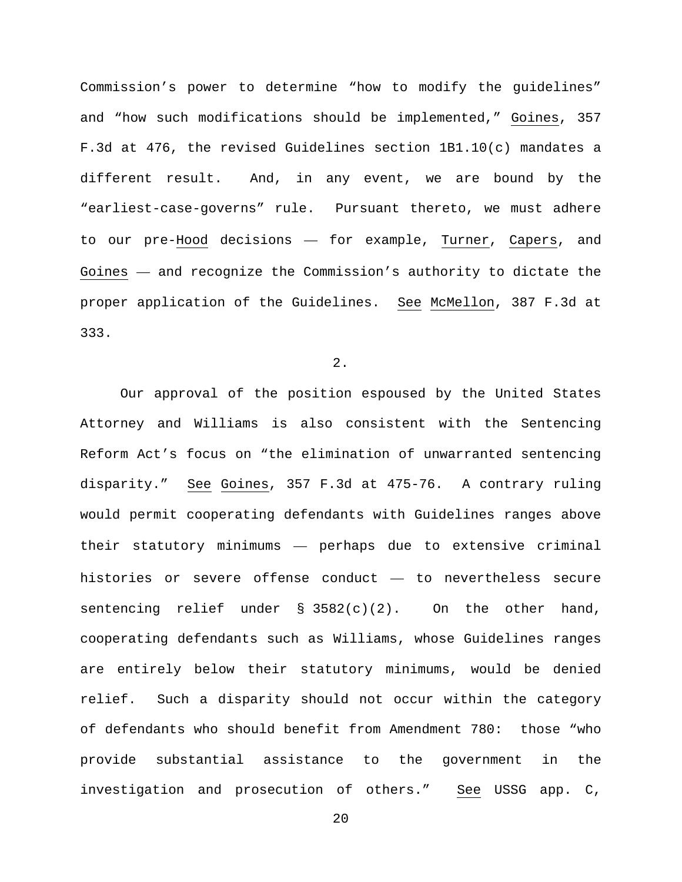Commission's power to determine "how to modify the guidelines" and "how such modifications should be implemented," Goines, 357 F.3d at 476, the revised Guidelines section 1B1.10(c) mandates a different result. And, in any event, we are bound by the "earliest-case-governs" rule. Pursuant thereto, we must adhere to our pre-Hood decisions — for example, Turner, Capers, and Goines — and recognize the Commission's authority to dictate the proper application of the Guidelines. See McMellon, 387 F.3d at 333.

2.

Our approval of the position espoused by the United States Attorney and Williams is also consistent with the Sentencing Reform Act's focus on "the elimination of unwarranted sentencing disparity." See Goines, 357 F.3d at 475-76. A contrary ruling would permit cooperating defendants with Guidelines ranges above their statutory minimums — perhaps due to extensive criminal histories or severe offense conduct — to nevertheless secure sentencing relief under  $\S$  3582(c)(2). On the other hand, cooperating defendants such as Williams, whose Guidelines ranges are entirely below their statutory minimums, would be denied relief. Such a disparity should not occur within the category of defendants who should benefit from Amendment 780: those "who provide substantial assistance to the government in the investigation and prosecution of others." See USSG app. C,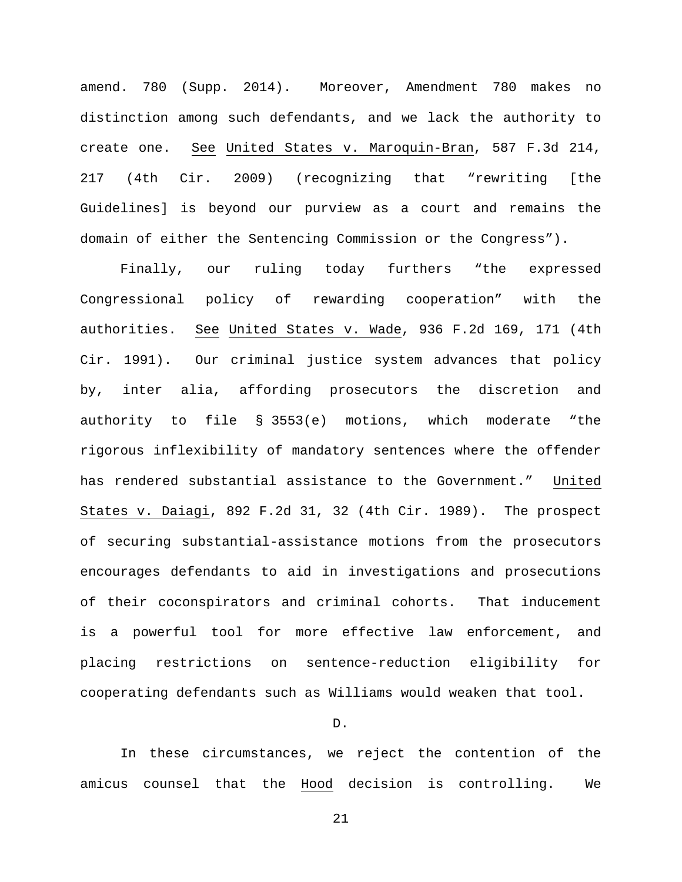amend. 780 (Supp. 2014). Moreover, Amendment 780 makes no distinction among such defendants, and we lack the authority to create one. See United States v. Maroquin-Bran, 587 F.3d 214, 217 (4th Cir. 2009) (recognizing that "rewriting [the Guidelines] is beyond our purview as a court and remains the domain of either the Sentencing Commission or the Congress").

Finally, our ruling today furthers "the expressed Congressional policy of rewarding cooperation" with the authorities. See United States v. Wade, 936 F.2d 169, 171 (4th Cir. 1991). Our criminal justice system advances that policy by, inter alia, affording prosecutors the discretion and authority to file § 3553(e) motions, which moderate "the rigorous inflexibility of mandatory sentences where the offender has rendered substantial assistance to the Government." United States v. Daiagi, 892 F.2d 31, 32 (4th Cir. 1989). The prospect of securing substantial-assistance motions from the prosecutors encourages defendants to aid in investigations and prosecutions of their coconspirators and criminal cohorts. That inducement is a powerful tool for more effective law enforcement, and placing restrictions on sentence-reduction eligibility for cooperating defendants such as Williams would weaken that tool.

### D.

In these circumstances, we reject the contention of the amicus counsel that the Hood decision is controlling. We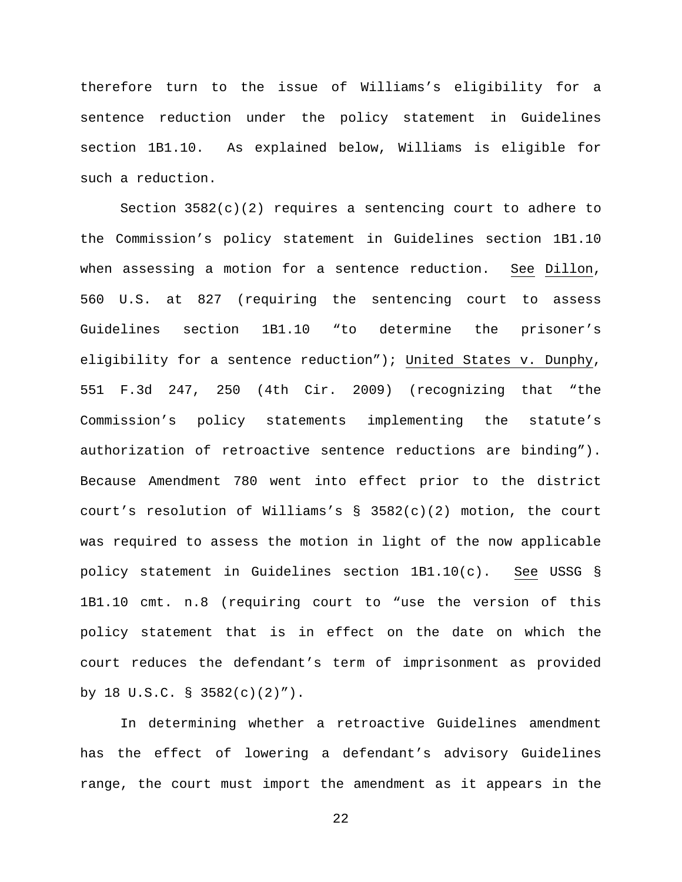therefore turn to the issue of Williams's eligibility for a sentence reduction under the policy statement in Guidelines section 1B1.10. As explained below, Williams is eligible for such a reduction.

Section 3582(c)(2) requires a sentencing court to adhere to the Commission's policy statement in Guidelines section 1B1.10 when assessing a motion for a sentence reduction. See Dillon, 560 U.S. at 827 (requiring the sentencing court to assess Guidelines section 1B1.10 "to determine the prisoner's eligibility for a sentence reduction"); United States v. Dunphy, 551 F.3d 247, 250 (4th Cir. 2009) (recognizing that "the Commission's policy statements implementing the statute's authorization of retroactive sentence reductions are binding"). Because Amendment 780 went into effect prior to the district court's resolution of Williams's  $\S$  3582(c)(2) motion, the court was required to assess the motion in light of the now applicable policy statement in Guidelines section 1B1.10(c). See USSG § 1B1.10 cmt. n.8 (requiring court to "use the version of this policy statement that is in effect on the date on which the court reduces the defendant's term of imprisonment as provided by 18 U.S.C. § 3582(c)(2)").

In determining whether a retroactive Guidelines amendment has the effect of lowering a defendant's advisory Guidelines range, the court must import the amendment as it appears in the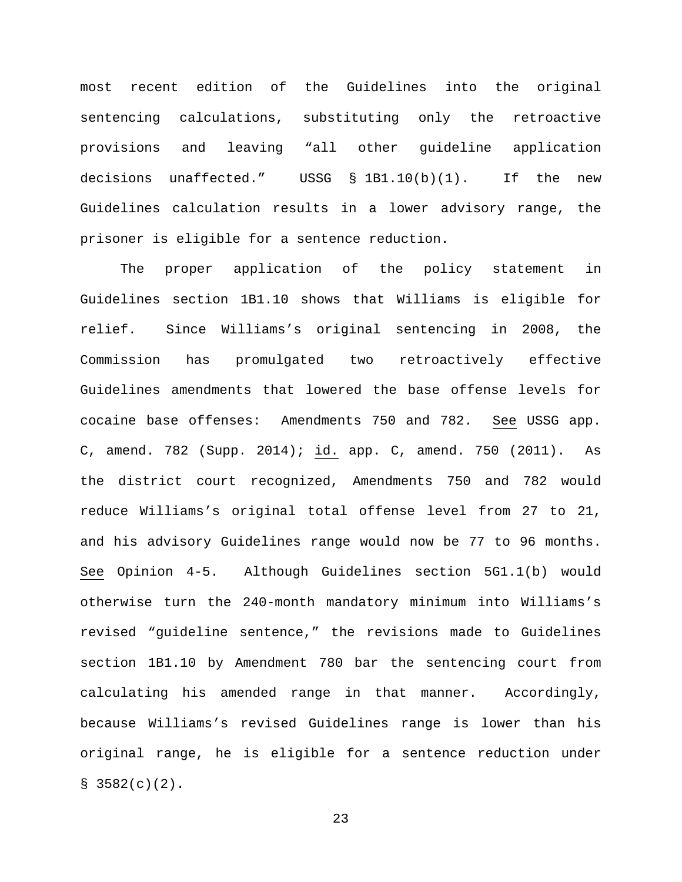most recent edition of the Guidelines into the original sentencing calculations, substituting only the retroactive provisions and leaving "all other guideline application decisions unaffected." USSG § 1B1.10(b)(1). If the new Guidelines calculation results in a lower advisory range, the prisoner is eligible for a sentence reduction.

The proper application of the policy statement in Guidelines section 1B1.10 shows that Williams is eligible for relief. Since Williams's original sentencing in 2008, the Commission has promulgated two retroactively effective Guidelines amendments that lowered the base offense levels for cocaine base offenses: Amendments 750 and 782. See USSG app. C, amend. 782 (Supp. 2014); id. app. C, amend. 750 (2011). As the district court recognized, Amendments 750 and 782 would reduce Williams's original total offense level from 27 to 21, and his advisory Guidelines range would now be 77 to 96 months. See Opinion 4-5. Although Guidelines section 5G1.1(b) would otherwise turn the 240-month mandatory minimum into Williams's revised "guideline sentence," the revisions made to Guidelines section 1B1.10 by Amendment 780 bar the sentencing court from calculating his amended range in that manner. Accordingly, because Williams's revised Guidelines range is lower than his original range, he is eligible for a sentence reduction under  $$3582(c)(2)$ .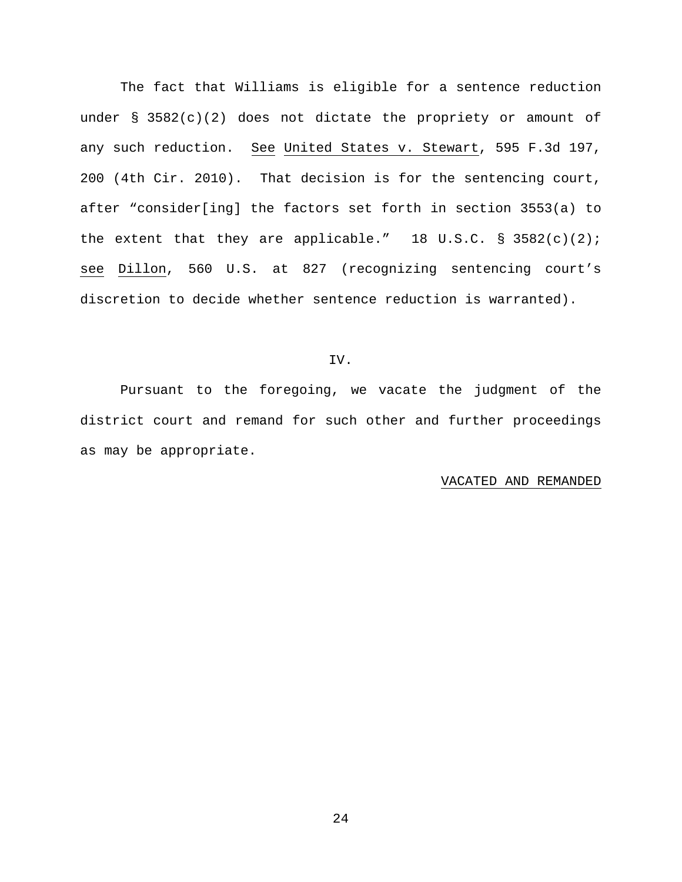The fact that Williams is eligible for a sentence reduction under §  $3582(c)(2)$  does not dictate the propriety or amount of any such reduction. See United States v. Stewart, 595 F.3d 197, 200 (4th Cir. 2010). That decision is for the sentencing court, after "consider[ing] the factors set forth in section 3553(a) to the extent that they are applicable." 18 U.S.C.  $\S$  3582(c)(2); see Dillon, 560 U.S. at 827 (recognizing sentencing court's discretion to decide whether sentence reduction is warranted).

## IV.

Pursuant to the foregoing, we vacate the judgment of the district court and remand for such other and further proceedings as may be appropriate.

#### VACATED AND REMANDED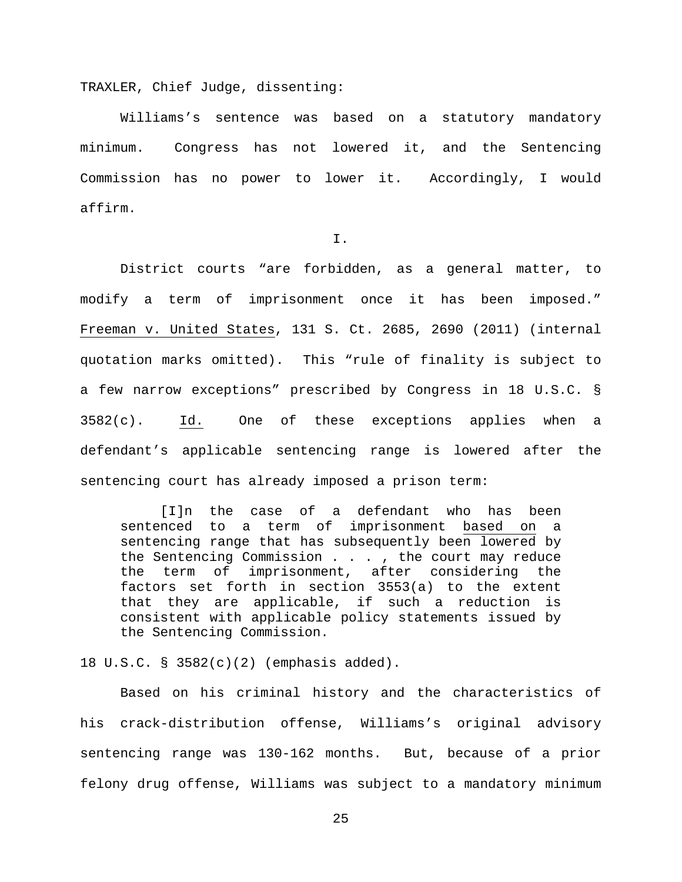TRAXLER, Chief Judge, dissenting:

Williams's sentence was based on a statutory mandatory minimum. Congress has not lowered it, and the Sentencing Commission has no power to lower it. Accordingly, I would affirm.

I.

District courts "are forbidden, as a general matter, to modify a term of imprisonment once it has been imposed." Freeman v. United States, 131 S. Ct. 2685, 2690 (2011) (internal quotation marks omitted). This "rule of finality is subject to a few narrow exceptions" prescribed by Congress in 18 U.S.C. §  $3582(c)$ . Id. One of these exceptions applies when a defendant's applicable sentencing range is lowered after the sentencing court has already imposed a prison term:

[I]n the case of a defendant who has been<br>sentenced to a term of imprisonment based on a to a term of imprisonment based on a sentencing range that has subsequently been lowered by the Sentencing Commission . . . , the court may reduce the term of imprisonment, after considering the factors set forth in section 3553(a) to the extent that they are applicable, if such a reduction is consistent with applicable policy statements issued by the Sentencing Commission.

18 U.S.C. § 3582(c)(2) (emphasis added).

Based on his criminal history and the characteristics of his crack-distribution offense, Williams's original advisory sentencing range was 130-162 months. But, because of a prior felony drug offense, Williams was subject to a mandatory minimum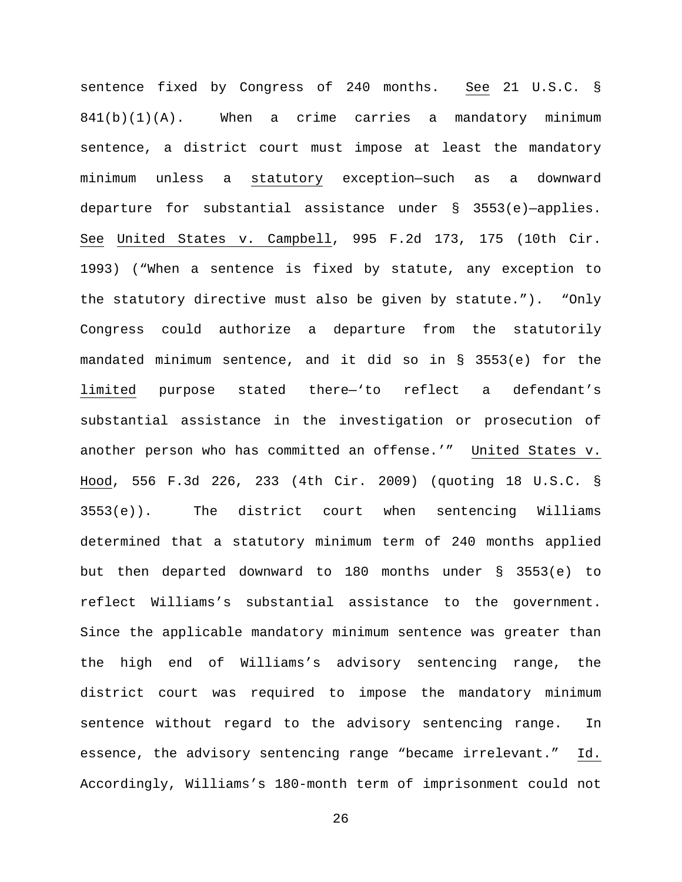sentence fixed by Congress of 240 months. See 21 U.S.C. §  $841(b)(1)(A)$ . When a crime carries a mandatory minimum sentence, a district court must impose at least the mandatory minimum unless a statutory exception—such as a downward departure for substantial assistance under § 3553(e)—applies. See United States v. Campbell, 995 F.2d 173, 175 (10th Cir. 1993) ("When a sentence is fixed by statute, any exception to the statutory directive must also be given by statute."). "Only Congress could authorize a departure from the statutorily mandated minimum sentence, and it did so in § 3553(e) for the limited purpose stated there—'to reflect a defendant's substantial assistance in the investigation or prosecution of another person who has committed an offense.'" United States v. Hood, 556 F.3d 226, 233 (4th Cir. 2009) (quoting 18 U.S.C. § 3553(e)). The district court when sentencing Williams determined that a statutory minimum term of 240 months applied but then departed downward to 180 months under § 3553(e) to reflect Williams's substantial assistance to the government. Since the applicable mandatory minimum sentence was greater than the high end of Williams's advisory sentencing range, the district court was required to impose the mandatory minimum sentence without regard to the advisory sentencing range. In essence, the advisory sentencing range "became irrelevant." Id. Accordingly, Williams's 180-month term of imprisonment could not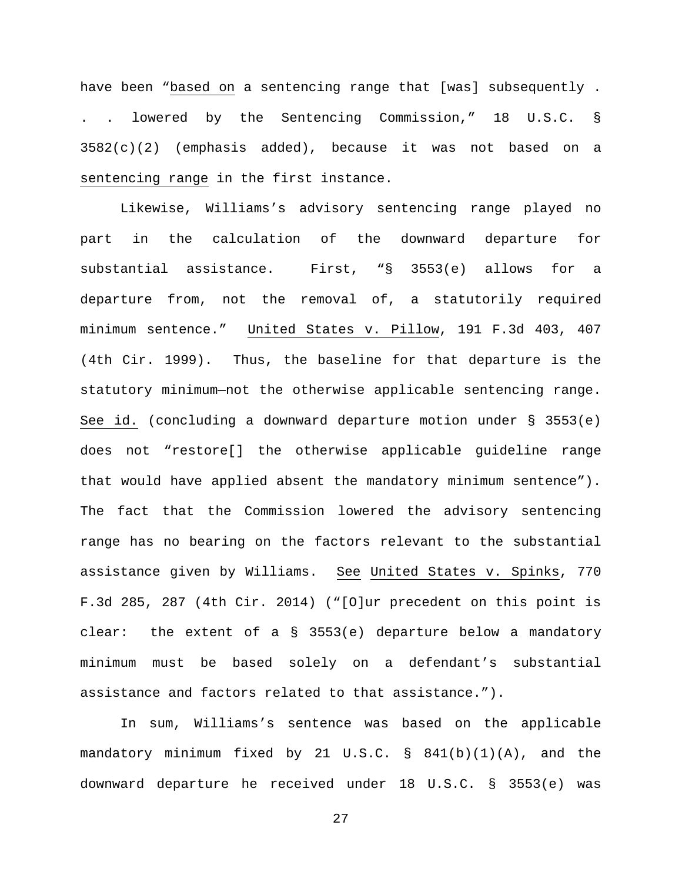have been "based on a sentencing range that [was] subsequently . . . lowered by the Sentencing Commission," 18 U.S.C. §  $3582(c)(2)$  (emphasis added), because it was not based on a sentencing range in the first instance.

Likewise, Williams's advisory sentencing range played no part in the calculation of the downward departure for substantial assistance. First, "§ 3553(e) allows for a departure from, not the removal of, a statutorily required minimum sentence." United States v. Pillow, 191 F.3d 403, 407 (4th Cir. 1999). Thus, the baseline for that departure is the statutory minimum—not the otherwise applicable sentencing range. See id. (concluding a downward departure motion under  $\S$  3553(e) does not "restore[] the otherwise applicable guideline range that would have applied absent the mandatory minimum sentence"). The fact that the Commission lowered the advisory sentencing range has no bearing on the factors relevant to the substantial assistance given by Williams. See United States v. Spinks, 770 F.3d 285, 287 (4th Cir. 2014) ("[O]ur precedent on this point is clear: the extent of a § 3553(e) departure below a mandatory minimum must be based solely on a defendant's substantial assistance and factors related to that assistance.").

In sum, Williams's sentence was based on the applicable mandatory minimum fixed by 21 U.S.C. § 841(b)(1)(A), and the downward departure he received under 18 U.S.C. § 3553(e) was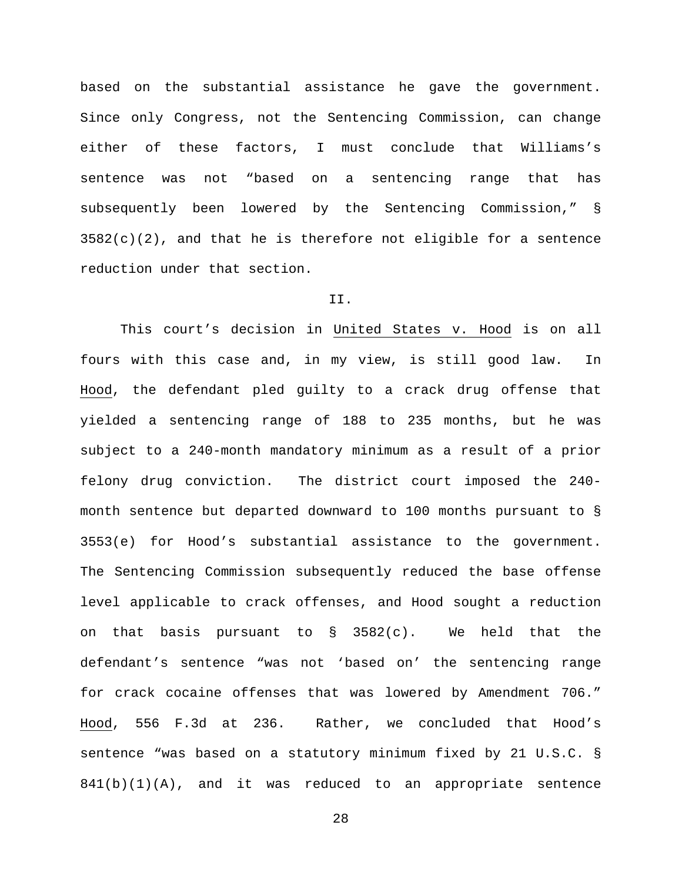based on the substantial assistance he gave the government. Since only Congress, not the Sentencing Commission, can change either of these factors, I must conclude that Williams's sentence was not "based on a sentencing range that has subsequently been lowered by the Sentencing Commission," §  $3582(c)(2)$ , and that he is therefore not eligible for a sentence reduction under that section.

# II.

This court's decision in United States v. Hood is on all fours with this case and, in my view, is still good law. In Hood, the defendant pled guilty to a crack drug offense that yielded a sentencing range of 188 to 235 months, but he was subject to a 240-month mandatory minimum as a result of a prior felony drug conviction. The district court imposed the 240 month sentence but departed downward to 100 months pursuant to § 3553(e) for Hood's substantial assistance to the government. The Sentencing Commission subsequently reduced the base offense level applicable to crack offenses, and Hood sought a reduction on that basis pursuant to  $\S$  3582(c). We held that the defendant's sentence "was not 'based on' the sentencing range for crack cocaine offenses that was lowered by Amendment 706." Hood, 556 F.3d at 236. Rather, we concluded that Hood's sentence "was based on a statutory minimum fixed by 21 U.S.C. §  $841(b)(1)(A)$ , and it was reduced to an appropriate sentence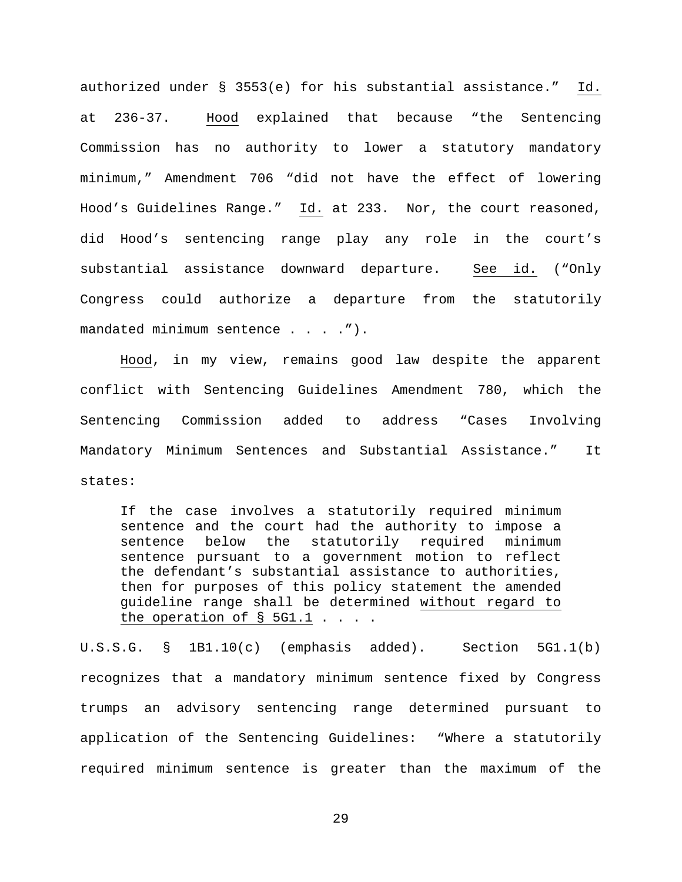authorized under § 3553(e) for his substantial assistance." Id. at 236-37. Hood explained that because "the Sentencing Commission has no authority to lower a statutory mandatory minimum," Amendment 706 "did not have the effect of lowering Hood's Guidelines Range." Id. at 233. Nor, the court reasoned, did Hood's sentencing range play any role in the court's substantial assistance downward departure. See id. ("Only Congress could authorize a departure from the statutorily mandated minimum sentence . . . . ").

Hood, in my view, remains good law despite the apparent conflict with Sentencing Guidelines Amendment 780, which the Sentencing Commission added to address "Cases Involving Mandatory Minimum Sentences and Substantial Assistance." It states:

If the case involves a statutorily required minimum sentence and the court had the authority to impose a<br>sentence below the statutorily required minimum the statutorily required minimum sentence pursuant to a government motion to reflect the defendant's substantial assistance to authorities, then for purposes of this policy statement the amended guideline range shall be determined without regard to the operation of  $\S$  5G1.1 . . . .

U.S.S.G. § 1B1.10(c) (emphasis added). Section 5G1.1(b) recognizes that a mandatory minimum sentence fixed by Congress trumps an advisory sentencing range determined pursuant to application of the Sentencing Guidelines: "Where a statutorily required minimum sentence is greater than the maximum of the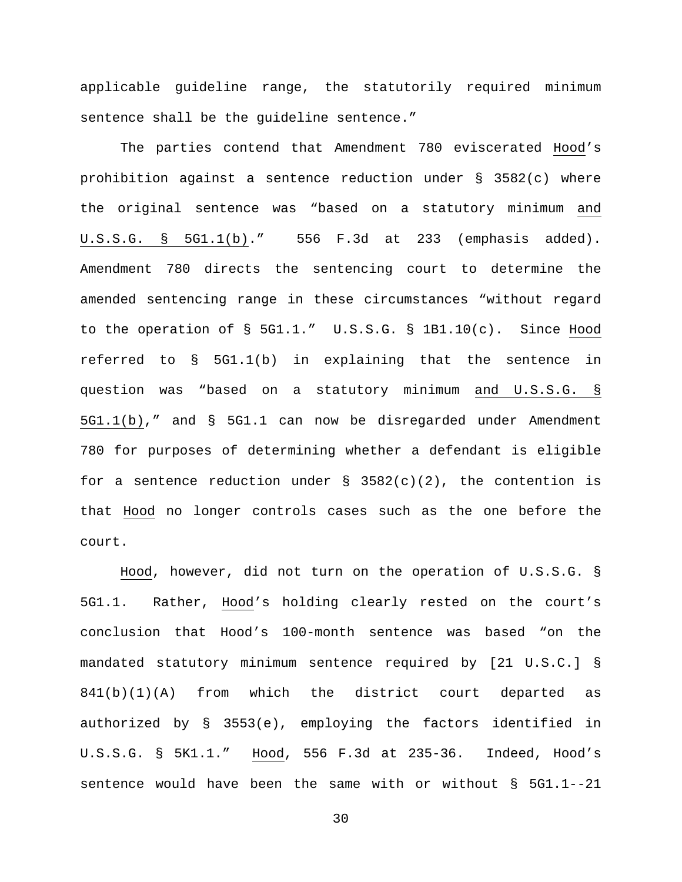applicable guideline range, the statutorily required minimum sentence shall be the guideline sentence."

The parties contend that Amendment 780 eviscerated Hood's prohibition against a sentence reduction under § 3582(c) where the original sentence was "based on a statutory minimum and U.S.S.G. § 5G1.1(b)." 556 F.3d at 233 (emphasis added). Amendment 780 directs the sentencing court to determine the amended sentencing range in these circumstances "without regard to the operation of § 5G1.1." U.S.S.G. § 1B1.10(c). Since Hood referred to § 5G1.1(b) in explaining that the sentence in question was "based on a statutory minimum and U.S.S.G. § 5G1.1(b)," and § 5G1.1 can now be disregarded under Amendment 780 for purposes of determining whether a defendant is eligible for a sentence reduction under  $\S$  3582(c)(2), the contention is that Hood no longer controls cases such as the one before the court.

Hood, however, did not turn on the operation of U.S.S.G. § 5G1.1. Rather, Hood's holding clearly rested on the court's conclusion that Hood's 100-month sentence was based "on the mandated statutory minimum sentence required by [21 U.S.C.] § 841(b)(1)(A) from which the district court departed as authorized by § 3553(e), employing the factors identified in U.S.S.G. § 5K1.1." Hood, 556 F.3d at 235-36. Indeed, Hood's sentence would have been the same with or without § 5G1.1--21